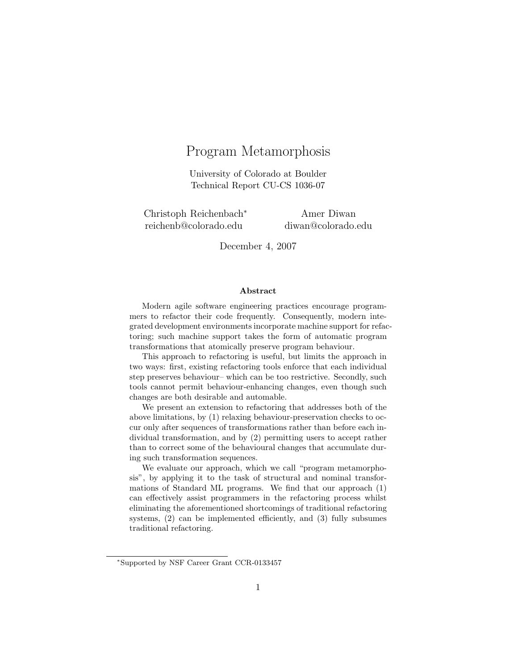# Program Metamorphosis

University of Colorado at Boulder Technical Report CU-CS 1036-07

Christoph Reichenbach<sup>∗</sup> reichenb@colorado.edu

Amer Diwan diwan@colorado.edu

December 4, 2007

#### Abstract

Modern agile software engineering practices encourage programmers to refactor their code frequently. Consequently, modern integrated development environments incorporate machine support for refactoring; such machine support takes the form of automatic program transformations that atomically preserve program behaviour.

This approach to refactoring is useful, but limits the approach in two ways: first, existing refactoring tools enforce that each individual step preserves behaviour– which can be too restrictive. Secondly, such tools cannot permit behaviour-enhancing changes, even though such changes are both desirable and automable.

We present an extension to refactoring that addresses both of the above limitations, by (1) relaxing behaviour-preservation checks to occur only after sequences of transformations rather than before each individual transformation, and by (2) permitting users to accept rather than to correct some of the behavioural changes that accumulate during such transformation sequences.

We evaluate our approach, which we call "program metamorphosis", by applying it to the task of structural and nominal transformations of Standard ML programs. We find that our approach (1) can effectively assist programmers in the refactoring process whilst eliminating the aforementioned shortcomings of traditional refactoring systems,  $(2)$  can be implemented efficiently, and  $(3)$  fully subsumes traditional refactoring.

<sup>∗</sup>Supported by NSF Career Grant CCR-0133457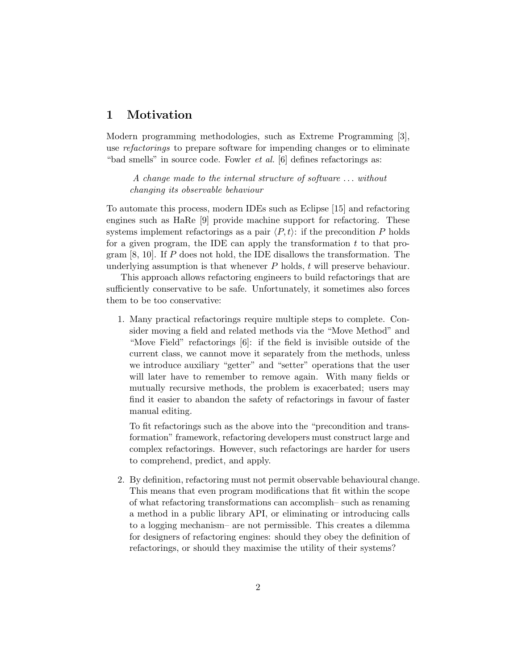# 1 Motivation

Modern programming methodologies, such as Extreme Programming [3], use *refactorings* to prepare software for impending changes or to eliminate "bad smells" in source code. Fowler et al. [6] defines refactorings as:

A change made to the internal structure of software . . . without changing its observable behaviour

To automate this process, modern IDEs such as Eclipse [15] and refactoring engines such as HaRe [9] provide machine support for refactoring. These systems implement refactorings as a pair  $\langle P, t \rangle$ : if the precondition P holds for a given program, the IDE can apply the transformation  $t$  to that program [8, 10]. If P does not hold, the IDE disallows the transformation. The underlying assumption is that whenever  $P$  holds,  $t$  will preserve behaviour.

This approach allows refactoring engineers to build refactorings that are sufficiently conservative to be safe. Unfortunately, it sometimes also forces them to be too conservative:

1. Many practical refactorings require multiple steps to complete. Consider moving a field and related methods via the "Move Method" and "Move Field" refactorings [6]: if the field is invisible outside of the current class, we cannot move it separately from the methods, unless we introduce auxiliary "getter" and "setter" operations that the user will later have to remember to remove again. With many fields or mutually recursive methods, the problem is exacerbated; users may find it easier to abandon the safety of refactorings in favour of faster manual editing.

To fit refactorings such as the above into the "precondition and transformation" framework, refactoring developers must construct large and complex refactorings. However, such refactorings are harder for users to comprehend, predict, and apply.

2. By definition, refactoring must not permit observable behavioural change. This means that even program modifications that fit within the scope of what refactoring transformations can accomplish– such as renaming a method in a public library API, or eliminating or introducing calls to a logging mechanism– are not permissible. This creates a dilemma for designers of refactoring engines: should they obey the definition of refactorings, or should they maximise the utility of their systems?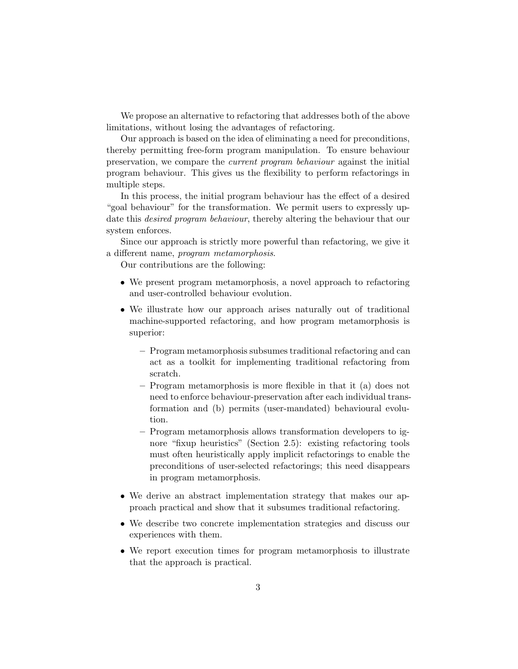We propose an alternative to refactoring that addresses both of the above limitations, without losing the advantages of refactoring.

Our approach is based on the idea of eliminating a need for preconditions, thereby permitting free-form program manipulation. To ensure behaviour preservation, we compare the current program behaviour against the initial program behaviour. This gives us the flexibility to perform refactorings in multiple steps.

In this process, the initial program behaviour has the effect of a desired "goal behaviour" for the transformation. We permit users to expressly update this *desired program behaviour*, thereby altering the behaviour that our system enforces.

Since our approach is strictly more powerful than refactoring, we give it a different name, program metamorphosis.

Our contributions are the following:

- We present program metamorphosis, a novel approach to refactoring and user-controlled behaviour evolution.
- We illustrate how our approach arises naturally out of traditional machine-supported refactoring, and how program metamorphosis is superior:
	- Program metamorphosis subsumes traditional refactoring and can act as a toolkit for implementing traditional refactoring from scratch.
	- Program metamorphosis is more flexible in that it (a) does not need to enforce behaviour-preservation after each individual transformation and (b) permits (user-mandated) behavioural evolution.
	- Program metamorphosis allows transformation developers to ignore "fixup heuristics" (Section 2.5): existing refactoring tools must often heuristically apply implicit refactorings to enable the preconditions of user-selected refactorings; this need disappears in program metamorphosis.
- We derive an abstract implementation strategy that makes our approach practical and show that it subsumes traditional refactoring.
- We describe two concrete implementation strategies and discuss our experiences with them.
- We report execution times for program metamorphosis to illustrate that the approach is practical.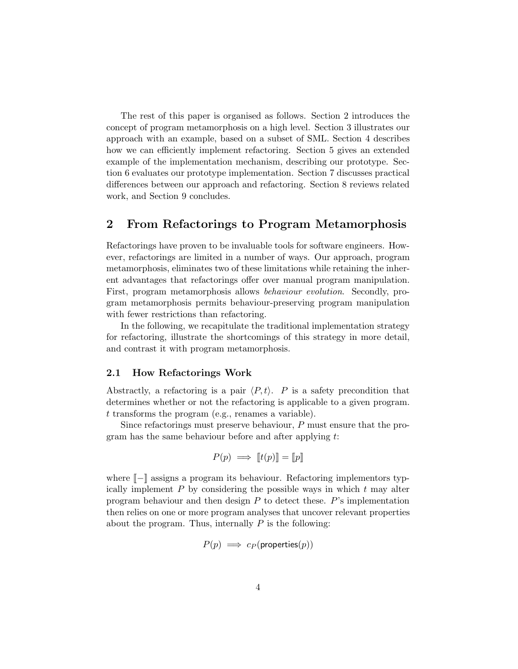The rest of this paper is organised as follows. Section 2 introduces the concept of program metamorphosis on a high level. Section 3 illustrates our approach with an example, based on a subset of SML. Section 4 describes how we can efficiently implement refactoring. Section 5 gives an extended example of the implementation mechanism, describing our prototype. Section 6 evaluates our prototype implementation. Section 7 discusses practical differences between our approach and refactoring. Section 8 reviews related work, and Section 9 concludes.

# 2 From Refactorings to Program Metamorphosis

Refactorings have proven to be invaluable tools for software engineers. However, refactorings are limited in a number of ways. Our approach, program metamorphosis, eliminates two of these limitations while retaining the inherent advantages that refactorings offer over manual program manipulation. First, program metamorphosis allows behaviour evolution. Secondly, program metamorphosis permits behaviour-preserving program manipulation with fewer restrictions than refactoring.

In the following, we recapitulate the traditional implementation strategy for refactoring, illustrate the shortcomings of this strategy in more detail, and contrast it with program metamorphosis.

#### 2.1 How Refactorings Work

Abstractly, a refactoring is a pair  $\langle P, t \rangle$ . P is a safety precondition that determines whether or not the refactoring is applicable to a given program. t transforms the program (e.g., renames a variable).

Since refactorings must preserve behaviour, P must ensure that the program has the same behaviour before and after applying t:

$$
P(p) \implies [t(p)] = [p]
$$

where  $\llbracket - \rrbracket$  assigns a program its behaviour. Refactoring implementors typically implement  $P$  by considering the possible ways in which  $t$  may alter program behaviour and then design  $P$  to detect these.  $P$ 's implementation then relies on one or more program analyses that uncover relevant properties about the program. Thus, internally  $P$  is the following:

$$
P(p) \implies c_P(\textsf{properties}(p))
$$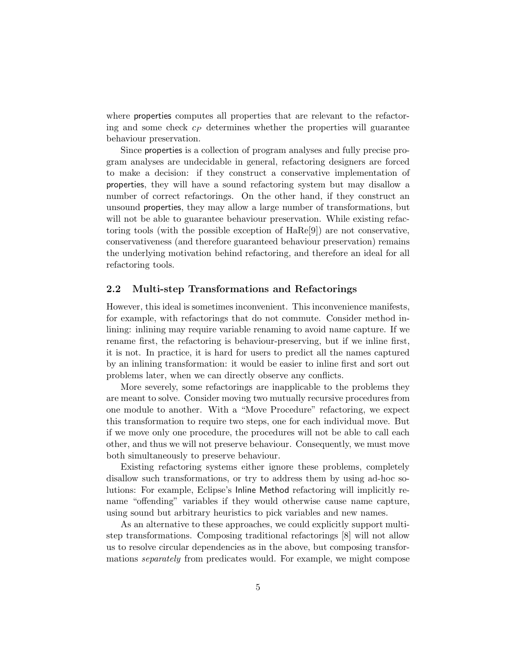where properties computes all properties that are relevant to the refactoring and some check  $c<sub>P</sub>$  determines whether the properties will guarantee behaviour preservation.

Since properties is a collection of program analyses and fully precise program analyses are undecidable in general, refactoring designers are forced to make a decision: if they construct a conservative implementation of properties, they will have a sound refactoring system but may disallow a number of correct refactorings. On the other hand, if they construct an unsound properties, they may allow a large number of transformations, but will not be able to guarantee behaviour preservation. While existing refactoring tools (with the possible exception of HaRe[9]) are not conservative, conservativeness (and therefore guaranteed behaviour preservation) remains the underlying motivation behind refactoring, and therefore an ideal for all refactoring tools.

#### 2.2 Multi-step Transformations and Refactorings

However, this ideal is sometimes inconvenient. This inconvenience manifests, for example, with refactorings that do not commute. Consider method inlining: inlining may require variable renaming to avoid name capture. If we rename first, the refactoring is behaviour-preserving, but if we inline first, it is not. In practice, it is hard for users to predict all the names captured by an inlining transformation: it would be easier to inline first and sort out problems later, when we can directly observe any conflicts.

More severely, some refactorings are inapplicable to the problems they are meant to solve. Consider moving two mutually recursive procedures from one module to another. With a "Move Procedure" refactoring, we expect this transformation to require two steps, one for each individual move. But if we move only one procedure, the procedures will not be able to call each other, and thus we will not preserve behaviour. Consequently, we must move both simultaneously to preserve behaviour.

Existing refactoring systems either ignore these problems, completely disallow such transformations, or try to address them by using ad-hoc solutions: For example, Eclipse's Inline Method refactoring will implicitly rename "offending" variables if they would otherwise cause name capture, using sound but arbitrary heuristics to pick variables and new names.

As an alternative to these approaches, we could explicitly support multistep transformations. Composing traditional refactorings [8] will not allow us to resolve circular dependencies as in the above, but composing transformations separately from predicates would. For example, we might compose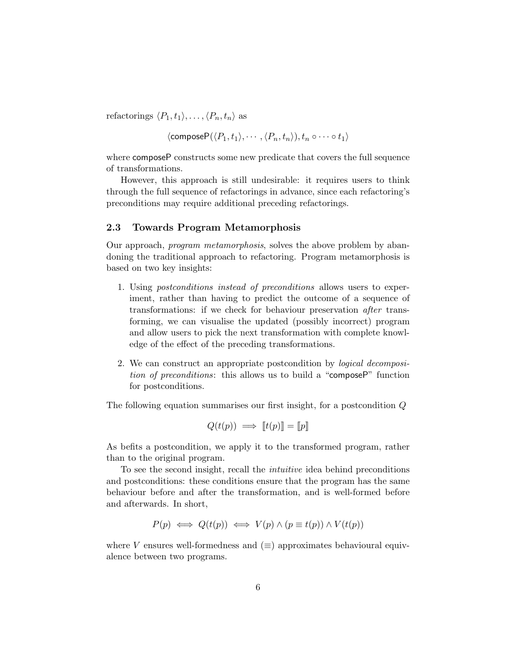refactorings  $\langle P_1, t_1 \rangle, \ldots, \langle P_n, t_n \rangle$  as

$$
\langle \mathsf{compositeP}(\langle P_1,t_1\rangle,\cdots,\langle P_n,t_n\rangle), t_n\circ\cdots\circ t_1\rangle
$$

where composeP constructs some new predicate that covers the full sequence of transformations.

However, this approach is still undesirable: it requires users to think through the full sequence of refactorings in advance, since each refactoring's preconditions may require additional preceding refactorings.

## 2.3 Towards Program Metamorphosis

Our approach, program metamorphosis, solves the above problem by abandoning the traditional approach to refactoring. Program metamorphosis is based on two key insights:

- 1. Using postconditions instead of preconditions allows users to experiment, rather than having to predict the outcome of a sequence of transformations: if we check for behaviour preservation after transforming, we can visualise the updated (possibly incorrect) program and allow users to pick the next transformation with complete knowledge of the effect of the preceding transformations.
- 2. We can construct an appropriate postcondition by logical decomposition of preconditions: this allows us to build a "composeP" function for postconditions.

The following equation summarises our first insight, for a postcondition Q

$$
Q(t(p)) \implies [t(p)] = [p]
$$

As befits a postcondition, we apply it to the transformed program, rather than to the original program.

To see the second insight, recall the intuitive idea behind preconditions and postconditions: these conditions ensure that the program has the same behaviour before and after the transformation, and is well-formed before and afterwards. In short,

$$
P(p) \iff Q(t(p)) \iff V(p) \land (p \equiv t(p)) \land V(t(p))
$$

where V ensures well-formedness and  $(\equiv)$  approximates behavioural equivalence between two programs.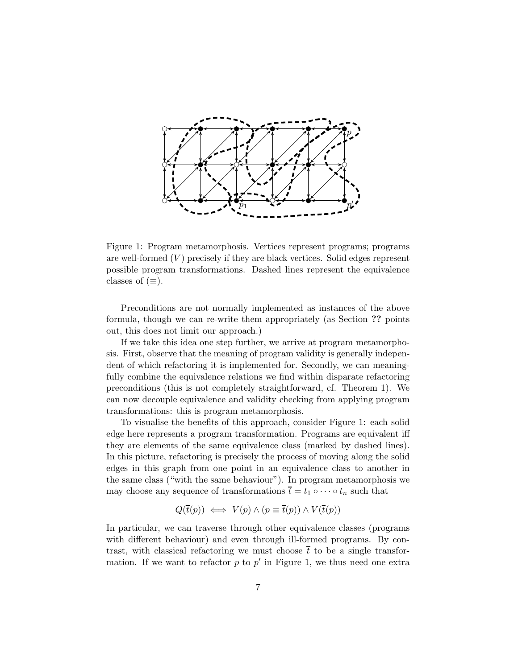

Figure 1: Program metamorphosis. Vertices represent programs; programs are well-formed  $(V)$  precisely if they are black vertices. Solid edges represent possible program transformations. Dashed lines represent the equivalence classes of  $(\equiv)$ .

Preconditions are not normally implemented as instances of the above formula, though we can re-write them appropriately (as Section ?? points out, this does not limit our approach.)

If we take this idea one step further, we arrive at program metamorphosis. First, observe that the meaning of program validity is generally independent of which refactoring it is implemented for. Secondly, we can meaningfully combine the equivalence relations we find within disparate refactoring preconditions (this is not completely straightforward, cf. Theorem 1). We can now decouple equivalence and validity checking from applying program transformations: this is program metamorphosis.

To visualise the benefits of this approach, consider Figure 1: each solid edge here represents a program transformation. Programs are equivalent iff they are elements of the same equivalence class (marked by dashed lines). In this picture, refactoring is precisely the process of moving along the solid edges in this graph from one point in an equivalence class to another in the same class ("with the same behaviour"). In program metamorphosis we may choose any sequence of transformations  $\overline{t} = t_1 \circ \cdots \circ t_n$  such that

$$
Q(\overline{t}(p)) \iff V(p) \land (p \equiv \overline{t}(p)) \land V(\overline{t}(p))
$$

In particular, we can traverse through other equivalence classes (programs with different behaviour) and even through ill-formed programs. By contrast, with classical refactoring we must choose  $\bar{t}$  to be a single transformation. If we want to refactor  $p$  to  $p'$  in Figure 1, we thus need one extra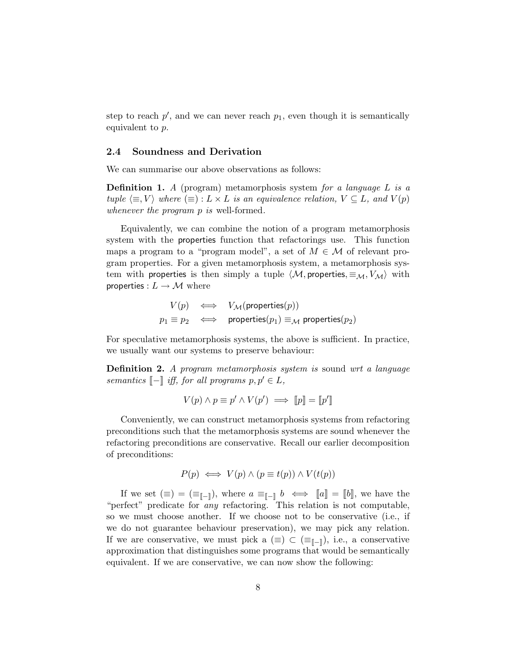step to reach  $p'$ , and we can never reach  $p_1$ , even though it is semantically equivalent to p.

#### 2.4 Soundness and Derivation

We can summarise our above observations as follows:

**Definition 1.** A (program) metamorphosis system for a language L is a tuple  $\langle \equiv, V \rangle$  where  $\langle \equiv \rangle : L \times L$  is an equivalence relation,  $V \subseteq L$ , and  $V(p)$ whenever the program p is well-formed.

Equivalently, we can combine the notion of a program metamorphosis system with the properties function that refactorings use. This function maps a program to a "program model", a set of  $M \in \mathcal{M}$  of relevant program properties. For a given metamorphosis system, a metamorphosis system with properties is then simply a tuple  $\langle M$ , properties,  $\equiv_M, V_M \rangle$  with properties :  $L \rightarrow M$  where

$$
V(p) \iff V_{\mathcal{M}}(\text{properties}(p))
$$
  

$$
p_1 \equiv p_2 \iff \text{properties}(p_1) \equiv_{\mathcal{M}} \text{properties}(p_2)
$$

For speculative metamorphosis systems, the above is sufficient. In practice, we usually want our systems to preserve behaviour:

Definition 2. A program metamorphosis system is sound wrt a language semantics  $\llbracket - \rrbracket$  iff, for all programs  $p, p' \in L$ ,

$$
V(p) \land p \equiv p' \land V(p') \implies [p] = [p']
$$

Conveniently, we can construct metamorphosis systems from refactoring preconditions such that the metamorphosis systems are sound whenever the refactoring preconditions are conservative. Recall our earlier decomposition of preconditions:

$$
P(p) \iff V(p) \land (p \equiv t(p)) \land V(t(p))
$$

If we set  $(\equiv) = (\equiv_{\llbracket - \rrbracket})$ , where  $a \equiv_{\llbracket - \rrbracket} b \iff \llbracket a \rrbracket = \llbracket b \rrbracket$ , we have the "perfect" predicate for any refactoring. This relation is not computable, so we must choose another. If we choose not to be conservative (i.e., if we do not guarantee behaviour preservation), we may pick any relation. If we are conservative, we must pick a  $(\equiv) \subset (\equiv_{\llbracket - \rrbracket})$ , i.e., a conservative approximation that distinguishes some programs that would be semantically equivalent. If we are conservative, we can now show the following: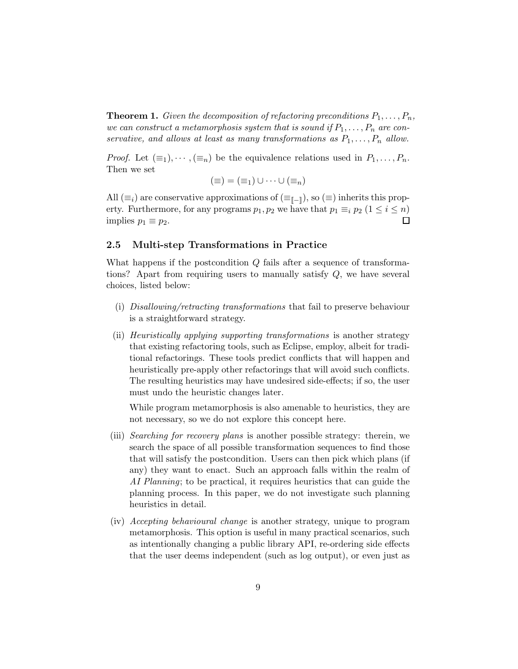**Theorem 1.** Given the decomposition of refactoring preconditions  $P_1, \ldots, P_n$ , we can construct a metamorphosis system that is sound if  $P_1, \ldots, P_n$  are conservative, and allows at least as many transformations as  $P_1, \ldots, P_n$  allow.

*Proof.* Let  $(\equiv_1), \cdots, (\equiv_n)$  be the equivalence relations used in  $P_1, \ldots, P_n$ . Then we set

$$
(\equiv)=(\equiv_1)\cup\cdots\cup(\equiv_n)
$$

All  $(\equiv_i)$  are conservative approximations of  $(\equiv_{\llbracket - \rrbracket})$ , so  $(\equiv)$  inherits this property. Furthermore, for any programs  $p_1, p_2$  we have that  $p_1 \equiv_i p_2$   $(1 \le i \le n)$ implies  $p_1 \equiv p_2$ .  $\Box$ 

#### 2.5 Multi-step Transformations in Practice

What happens if the postcondition  $Q$  fails after a sequence of transformations? Apart from requiring users to manually satisfy Q, we have several choices, listed below:

- (i) Disallowing/retracting transformations that fail to preserve behaviour is a straightforward strategy.
- (ii) Heuristically applying supporting transformations is another strategy that existing refactoring tools, such as Eclipse, employ, albeit for traditional refactorings. These tools predict conflicts that will happen and heuristically pre-apply other refactorings that will avoid such conflicts. The resulting heuristics may have undesired side-effects; if so, the user must undo the heuristic changes later.

While program metamorphosis is also amenable to heuristics, they are not necessary, so we do not explore this concept here.

- (iii) Searching for recovery plans is another possible strategy: therein, we search the space of all possible transformation sequences to find those that will satisfy the postcondition. Users can then pick which plans (if any) they want to enact. Such an approach falls within the realm of AI Planning; to be practical, it requires heuristics that can guide the planning process. In this paper, we do not investigate such planning heuristics in detail.
- (iv) Accepting behavioural change is another strategy, unique to program metamorphosis. This option is useful in many practical scenarios, such as intentionally changing a public library API, re-ordering side effects that the user deems independent (such as log output), or even just as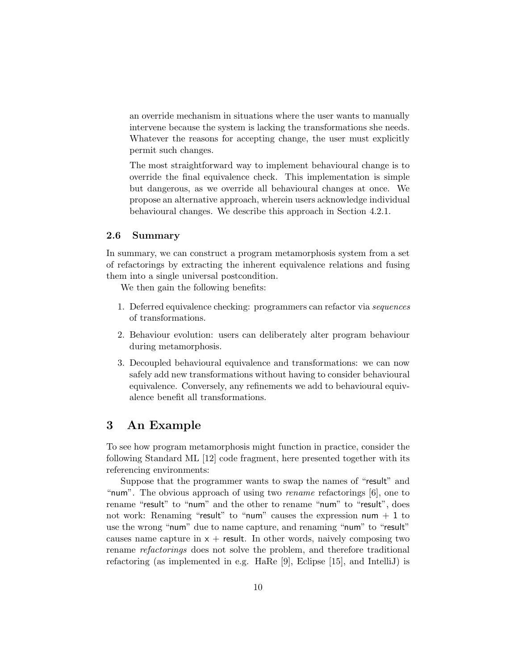an override mechanism in situations where the user wants to manually intervene because the system is lacking the transformations she needs. Whatever the reasons for accepting change, the user must explicitly permit such changes.

The most straightforward way to implement behavioural change is to override the final equivalence check. This implementation is simple but dangerous, as we override all behavioural changes at once. We propose an alternative approach, wherein users acknowledge individual behavioural changes. We describe this approach in Section 4.2.1.

## 2.6 Summary

In summary, we can construct a program metamorphosis system from a set of refactorings by extracting the inherent equivalence relations and fusing them into a single universal postcondition.

We then gain the following benefits:

- 1. Deferred equivalence checking: programmers can refactor via sequences of transformations.
- 2. Behaviour evolution: users can deliberately alter program behaviour during metamorphosis.
- 3. Decoupled behavioural equivalence and transformations: we can now safely add new transformations without having to consider behavioural equivalence. Conversely, any refinements we add to behavioural equivalence benefit all transformations.

# 3 An Example

To see how program metamorphosis might function in practice, consider the following Standard ML [12] code fragment, here presented together with its referencing environments:

Suppose that the programmer wants to swap the names of "result" and "num". The obvious approach of using two rename refactorings [6], one to rename "result" to "num" and the other to rename "num" to "result", does not work: Renaming "result" to "num" causes the expression num  $+1$  to use the wrong "num" due to name capture, and renaming "num" to "result" causes name capture in  $x +$  result. In other words, naively composing two rename refactorings does not solve the problem, and therefore traditional refactoring (as implemented in e.g. HaRe [9], Eclipse [15], and IntelliJ) is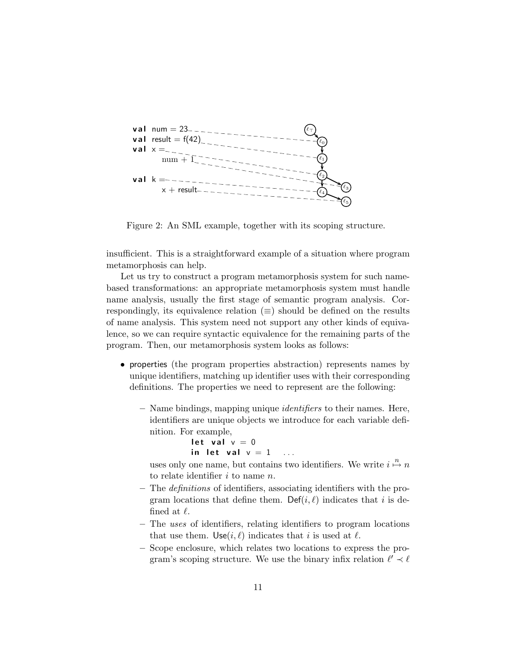

Figure 2: An SML example, together with its scoping structure.

insufficient. This is a straightforward example of a situation where program metamorphosis can help.

Let us try to construct a program metamorphosis system for such namebased transformations: an appropriate metamorphosis system must handle name analysis, usually the first stage of semantic program analysis. Correspondingly, its equivalence relation  $(\equiv)$  should be defined on the results of name analysis. This system need not support any other kinds of equivalence, so we can require syntactic equivalence for the remaining parts of the program. Then, our metamorphosis system looks as follows:

- properties (the program properties abstraction) represents names by unique identifiers, matching up identifier uses with their corresponding definitions. The properties we need to represent are the following:
	- Name bindings, mapping unique identifiers to their names. Here, identifiers are unique objects we introduce for each variable definition. For example,
		- let val  $v = 0$ in let val  $v = 1$  ...

uses only one name, but contains two identifiers. We write  $i \stackrel{n}{\mapsto} n$ to relate identifier  $i$  to name  $n$ .

- The definitions of identifiers, associating identifiers with the program locations that define them. Def(i,  $\ell$ ) indicates that i is defined at  $\ell$ .
- The uses of identifiers, relating identifiers to program locations that use them. Use $(i, \ell)$  indicates that i is used at  $\ell$ .
- Scope enclosure, which relates two locations to express the program's scoping structure. We use the binary infix relation  $\ell' \prec \ell$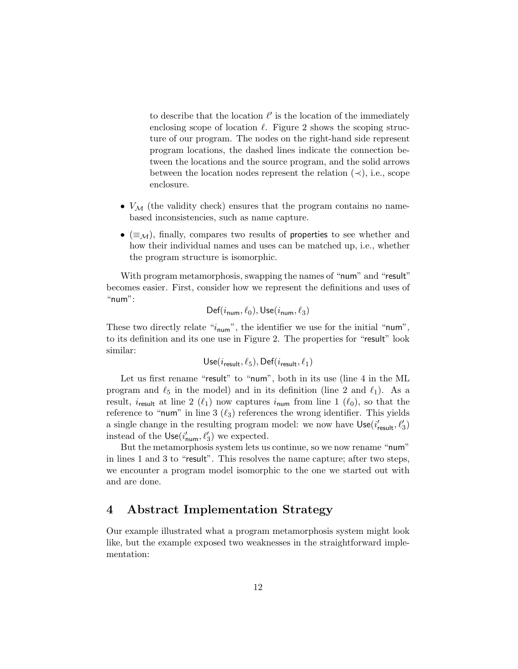to describe that the location  $\ell'$  is the location of the immediately enclosing scope of location  $\ell$ . Figure 2 shows the scoping structure of our program. The nodes on the right-hand side represent program locations, the dashed lines indicate the connection between the locations and the source program, and the solid arrows between the location nodes represent the relation  $(\prec)$ , i.e., scope enclosure.

- $V_M$  (the validity check) ensures that the program contains no namebased inconsistencies, such as name capture.
- ( $\equiv_{\mathcal{M}}$ ), finally, compares two results of properties to see whether and how their individual names and uses can be matched up, i.e., whether the program structure is isomorphic.

With program metamorphosis, swapping the names of "num" and "result" becomes easier. First, consider how we represent the definitions and uses of " $num$ ":

$$
\mathsf{Def}(i_{\mathsf{num}}, \ell_0), \mathsf{Use}(i_{\mathsf{num}}, \ell_3)
$$

These two directly relate " $i_{num}$ ", the identifier we use for the initial "num", to its definition and its one use in Figure 2. The properties for "result" look similar:

Use(
$$
i_{\text{result}}, \ell_5
$$
), Def( $i_{\text{result}}, \ell_1$ )

Let us first rename "result" to "num", both in its use (line 4 in the ML program and  $\ell_5$  in the model) and in its definition (line 2 and  $\ell_1$ ). As a result,  $i_{\text{result}}$  at line 2  $(\ell_1)$  now captures  $i_{\text{num}}$  from line 1  $(\ell_0)$ , so that the reference to "num" in line 3  $(\ell_3)$  references the wrong identifier. This yields a single change in the resulting program model: we now have  $Use(i'_{result}, \ell'_3)$ instead of the  $Use(i'_{num}, \ell'_3)$  we expected.

But the metamorphosis system lets us continue, so we now rename "num" in lines 1 and 3 to "result". This resolves the name capture; after two steps, we encounter a program model isomorphic to the one we started out with and are done.

# 4 Abstract Implementation Strategy

Our example illustrated what a program metamorphosis system might look like, but the example exposed two weaknesses in the straightforward implementation: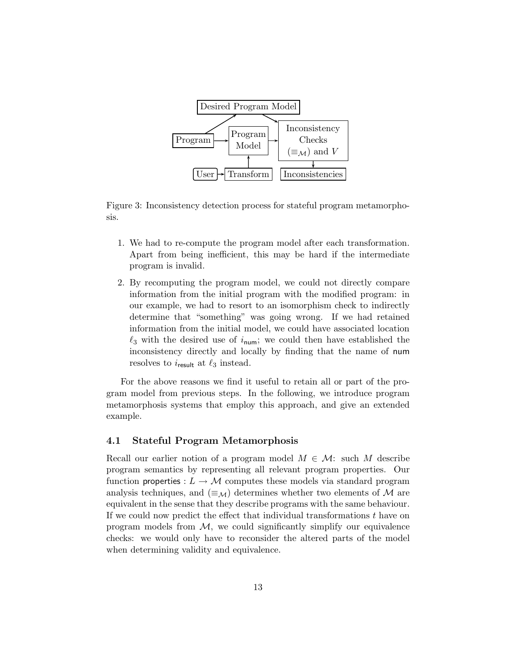

Figure 3: Inconsistency detection process for stateful program metamorphosis.

- 1. We had to re-compute the program model after each transformation. Apart from being inefficient, this may be hard if the intermediate program is invalid.
- 2. By recomputing the program model, we could not directly compare information from the initial program with the modified program: in our example, we had to resort to an isomorphism check to indirectly determine that "something" was going wrong. If we had retained information from the initial model, we could have associated location  $\ell_3$  with the desired use of  $i_{\text{num}}$ ; we could then have established the inconsistency directly and locally by finding that the name of num resolves to  $i_{\text{result}}$  at  $\ell_3$  instead.

For the above reasons we find it useful to retain all or part of the program model from previous steps. In the following, we introduce program metamorphosis systems that employ this approach, and give an extended example.

## 4.1 Stateful Program Metamorphosis

Recall our earlier notion of a program model  $M \in \mathcal{M}$ : such M describe program semantics by representing all relevant program properties. Our function properties :  $L \to M$  computes these models via standard program analysis techniques, and  $(\equiv_{\mathcal{M}})$  determines whether two elements of M are equivalent in the sense that they describe programs with the same behaviour. If we could now predict the effect that individual transformations  $t$  have on program models from  $M$ , we could significantly simplify our equivalence checks: we would only have to reconsider the altered parts of the model when determining validity and equivalence.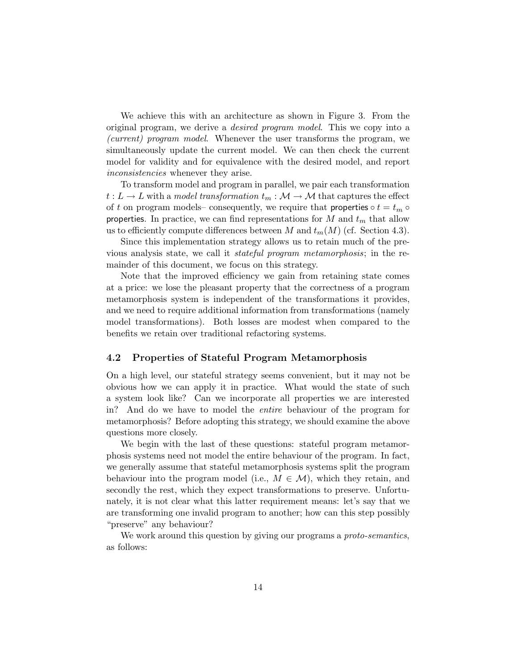We achieve this with an architecture as shown in Figure 3. From the original program, we derive a desired program model. This we copy into a (current) program model. Whenever the user transforms the program, we simultaneously update the current model. We can then check the current model for validity and for equivalence with the desired model, and report inconsistencies whenever they arise.

To transform model and program in parallel, we pair each transformation  $t : L \to L$  with a model transformation  $t_m : \mathcal{M} \to \mathcal{M}$  that captures the effect of t on program models– consequently, we require that **properties**  $\circ t = t_m \circ$ properties. In practice, we can find representations for M and  $t_m$  that allow us to efficiently compute differences between M and  $t_m(M)$  (cf. Section 4.3).

Since this implementation strategy allows us to retain much of the previous analysis state, we call it stateful program metamorphosis; in the remainder of this document, we focus on this strategy.

Note that the improved efficiency we gain from retaining state comes at a price: we lose the pleasant property that the correctness of a program metamorphosis system is independent of the transformations it provides, and we need to require additional information from transformations (namely model transformations). Both losses are modest when compared to the benefits we retain over traditional refactoring systems.

## 4.2 Properties of Stateful Program Metamorphosis

On a high level, our stateful strategy seems convenient, but it may not be obvious how we can apply it in practice. What would the state of such a system look like? Can we incorporate all properties we are interested in? And do we have to model the entire behaviour of the program for metamorphosis? Before adopting this strategy, we should examine the above questions more closely.

We begin with the last of these questions: stateful program metamorphosis systems need not model the entire behaviour of the program. In fact, we generally assume that stateful metamorphosis systems split the program behaviour into the program model (i.e.,  $M \in \mathcal{M}$ ), which they retain, and secondly the rest, which they expect transformations to preserve. Unfortunately, it is not clear what this latter requirement means: let's say that we are transforming one invalid program to another; how can this step possibly "preserve" any behaviour?

We work around this question by giving our programs a *proto-semantics*, as follows: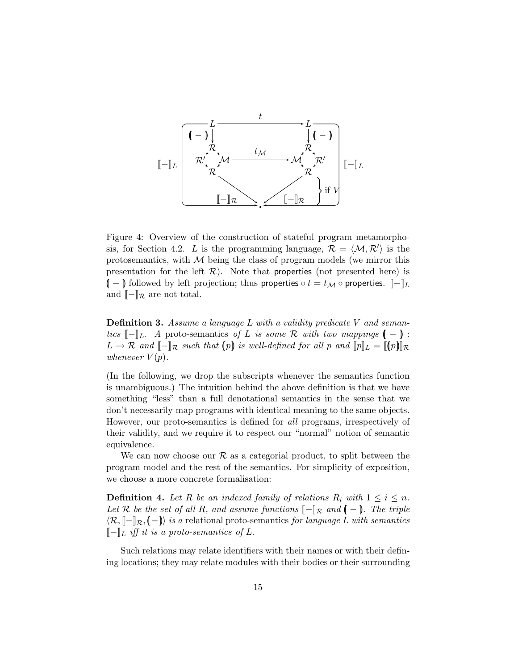

Figure 4: Overview of the construction of stateful program metamorphosis, for Section 4.2. L is the programming language,  $\mathcal{R} = \langle \mathcal{M}, \mathcal{R}' \rangle$  is the protosemantics, with  $M$  being the class of program models (we mirror this presentation for the left  $\mathcal{R}$ ). Note that properties (not presented here) is  $(-\ )$  followed by left projection; thus properties  $\circ t = t_{\mathcal{M}} \circ$  properties.  $\llbracket - \rrbracket_L$ and  $\llbracket - \rrbracket_{\mathcal{R}}$  are not total.

Definition 3. Assume a language L with a validity predicate V and semantics  $\llbracket - \rrbracket_L$ . A proto-semantics of L is some R with two mappings  $\llbracket - \rrbracket$ :  $L \to \mathcal{R}$  and  $\llbracket - \rrbracket_{\mathcal{R}}$  such that  $(p)$  is well-defined for all p and  $\llbracket p \rrbracket_L = \llbracket (p) \rrbracket_{\mathcal{R}}$ whenever  $V(p)$ .

(In the following, we drop the subscripts whenever the semantics function is unambiguous.) The intuition behind the above definition is that we have something "less" than a full denotational semantics in the sense that we don't necessarily map programs with identical meaning to the same objects. However, our proto-semantics is defined for all programs, irrespectively of their validity, and we require it to respect our "normal" notion of semantic equivalence.

We can now choose our  $\mathcal R$  as a categorial product, to split between the program model and the rest of the semantics. For simplicity of exposition, we choose a more concrete formalisation:

**Definition 4.** Let R be an indexed family of relations  $R_i$  with  $1 \leq i \leq n$ . Let R be the set of all R, and assume functions  $\llbracket - \rrbracket_{\mathcal{R}}$  and  $\llbracket - \rrbracket$ . The triple  $\langle \mathcal{R}, \llbracket -\rrbracket_{\mathcal{R}}, \llbracket -\rrbracket \rangle$  is a relational proto-semantics for language L with semantics  $\llbracket - \rrbracket_L$  iff it is a proto-semantics of L.

Such relations may relate identifiers with their names or with their defining locations; they may relate modules with their bodies or their surrounding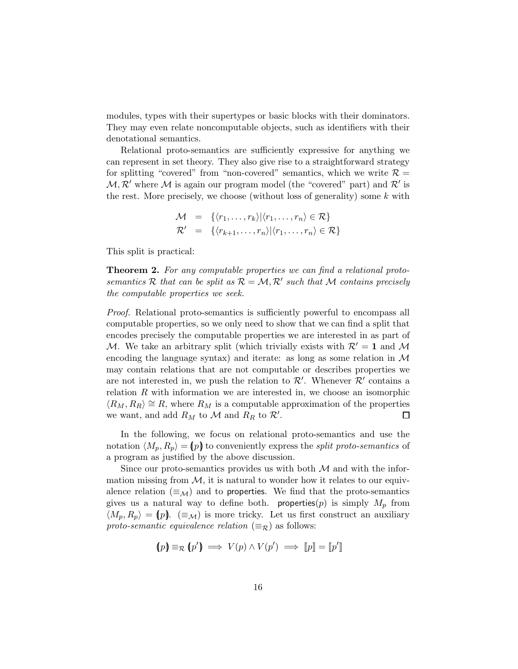modules, types with their supertypes or basic blocks with their dominators. They may even relate noncomputable objects, such as identifiers with their denotational semantics.

Relational proto-semantics are sufficiently expressive for anything we can represent in set theory. They also give rise to a straightforward strategy for splitting "covered" from "non-covered" semantics, which we write  $\mathcal{R} =$  $M, \mathcal{R}'$  where M is again our program model (the "covered" part) and  $\mathcal{R}'$  is the rest. More precisely, we choose (without loss of generality) some  $k$  with

$$
\mathcal{M} = \{ \langle r_1, \ldots, r_k \rangle | \langle r_1, \ldots, r_n \rangle \in \mathcal{R} \}
$$
  

$$
\mathcal{R}' = \{ \langle r_{k+1}, \ldots, r_n \rangle | \langle r_1, \ldots, r_n \rangle \in \mathcal{R} \}
$$

This split is practical:

**Theorem 2.** For any computable properties we can find a relational protosemantics R that can be split as  $\mathcal{R} = \mathcal{M}, \mathcal{R}'$  such that M contains precisely the computable properties we seek.

Proof. Relational proto-semantics is sufficiently powerful to encompass all computable properties, so we only need to show that we can find a split that encodes precisely the computable properties we are interested in as part of M. We take an arbitrary split (which trivially exists with  $\mathcal{R}' = 1$  and M encoding the language syntax) and iterate: as long as some relation in  $\mathcal M$ may contain relations that are not computable or describes properties we are not interested in, we push the relation to  $\mathcal{R}'$ . Whenever  $\mathcal{R}'$  contains a relation  $R$  with information we are interested in, we choose an isomorphic  $\langle R_M, R_R \rangle \cong R$ , where  $R_M$  is a computable approximation of the properties we want, and add  $R_M$  to  $\mathcal M$  and  $R_R$  to  $\mathcal R'$ . □

In the following, we focus on relational proto-semantics and use the notation  $\langle M_p, R_p \rangle = (p)$  to conveniently express the split proto-semantics of a program as justified by the above discussion.

Since our proto-semantics provides us with both  $M$  and with the information missing from  $M$ , it is natural to wonder how it relates to our equivalence relation  $(\equiv_{\mathcal{M}})$  and to properties. We find that the proto-semantics gives us a natural way to define both. properties  $(p)$  is simply  $M_p$  from  $\langle M_p, R_p \rangle = (p)$ .  $(\equiv_{\mathcal{M}})$  is more tricky. Let us first construct an auxiliary proto-semantic equivalence relation  $(\equiv_{\mathcal{R}})$  as follows:

$$
(p) \equiv_{\mathcal{R}} (p') \implies V(p) \land V(p') \implies [p] = [p']
$$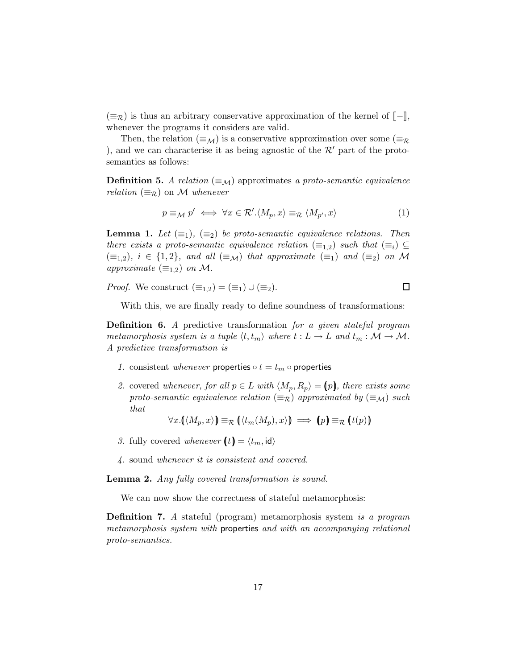$(\equiv_{\mathcal{R}})$  is thus an arbitrary conservative approximation of the kernel of  $\llbracket - \rrbracket$ , whenever the programs it considers are valid.

Then, the relation ( $\equiv_{\mathcal{M}}$ ) is a conservative approximation over some ( $\equiv_{\mathcal{R}}$ ), and we can characterise it as being agnostic of the  $\mathcal{R}'$  part of the protosemantics as follows:

**Definition 5.** A relation  $(\equiv_M)$  approximates a proto-semantic equivalence relation  $(\equiv_{\mathcal{R}})$  on M whenever

$$
p \equiv_M p' \iff \forall x \in \mathcal{R}'. \langle M_p, x \rangle \equiv_{\mathcal{R}} \langle M_{p'}, x \rangle \tag{1}
$$

 $\Box$ 

**Lemma 1.** Let  $(\equiv_1)$ ,  $(\equiv_2)$  be proto-semantic equivalence relations. Then there exists a proto-semantic equivalence relation  $(\equiv_{1,2})$  such that  $(\equiv_i) \subseteq$  $(\equiv_{1,2}), i \in \{1,2\}, \text{ and all } (\equiv_{\mathcal{M}}) \text{ that approximate } (\equiv_1) \text{ and } (\equiv_2) \text{ on } \mathcal{M}$ approximate  $(\equiv_{1,2})$  on M.

*Proof.* We construct  $(\equiv_{1,2}) = (\equiv_1) \cup (\equiv_2)$ .

With this, we are finally ready to define soundness of transformations:

Definition 6. A predictive transformation for a given stateful program metamorphosis system is a tuple  $\langle t, t_m \rangle$  where  $t : L \to L$  and  $t_m : \mathcal{M} \to \mathcal{M}$ . A predictive transformation is

- 1. consistent whenever properties  $\circ t = t_m \circ$  properties
- 2. covered whenever, for all  $p \in L$  with  $\langle M_p, R_p \rangle = p$ , there exists some proto-semantic equivalence relation  $(\equiv_{\mathcal{R}})$  approximated by  $(\equiv_{\mathcal{M}})$  such that

$$
\forall x. (\langle M_p, x \rangle) \equiv_R (\langle t_m(M_p), x \rangle) \implies (p) \equiv_R (t(p))
$$

- 3. fully covered whenever  $(t) = \langle t_m, id \rangle$
- 4. sound whenever it is consistent and covered.

Lemma 2. Any fully covered transformation is sound.

We can now show the correctness of stateful metamorphosis:

Definition 7. A stateful (program) metamorphosis system is a program metamorphosis system with properties and with an accompanying relational proto-semantics.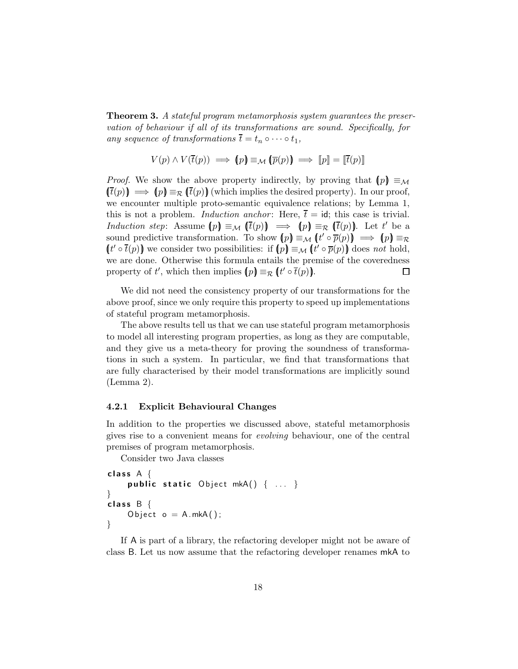**Theorem 3.** A stateful program metamorphosis system guarantees the preservation of behaviour if all of its transformations are sound. Specifically, for any sequence of transformations  $\overline{t} = t_n \circ \cdots \circ t_1$ ,

$$
V(p) \land V(\overline{t}(p)) \implies (p) \equiv_M (\overline{p}(p)) \implies [p] = [\overline{t}(p)]
$$

*Proof.* We show the above property indirectly, by proving that  $(p) \equiv_M$  $(\bar{t}(p)) \implies (p) \equiv_{\mathcal{R}} (\bar{t}(p))$  (which implies the desired property). In our proof, we encounter multiple proto-semantic equivalence relations; by Lemma 1, this is not a problem. *Induction anchor*: Here,  $\bar{t} = id$ ; this case is trivial. Induction step: Assume  $[p] \equiv_M (\bar{t}(p)) \implies (p) \equiv_R (\bar{t}(p))$ . Let t' be a sound predictive transformation. To show  $(p) \equiv_M (t' \circ \overline{p}(p)) \implies (p) \equiv_R$  $(t' \circ \overline{t}(p))$  we consider two possibilities: if  $(p) \equiv_M (t' \circ \overline{p}(p))$  does not hold, we are done. Otherwise this formula entails the premise of the coveredness property of t', which then implies  $(p) \equiv_{\mathcal{R}} (t' \circ \overline{t}(p))$ . 口

We did not need the consistency property of our transformations for the above proof, since we only require this property to speed up implementations of stateful program metamorphosis.

The above results tell us that we can use stateful program metamorphosis to model all interesting program properties, as long as they are computable, and they give us a meta-theory for proving the soundness of transformations in such a system. In particular, we find that transformations that are fully characterised by their model transformations are implicitly sound (Lemma 2).

#### 4.2.1 Explicit Behavioural Changes

In addition to the properties we discussed above, stateful metamorphosis gives rise to a convenient means for evolving behaviour, one of the central premises of program metamorphosis.

Consider two Java classes

```
class A \{public static Object mkA() \{ \ldots \}}
class B \{Object o = A.mkA();
}
```
If A is part of a library, the refactoring developer might not be aware of class B. Let us now assume that the refactoring developer renames mkA to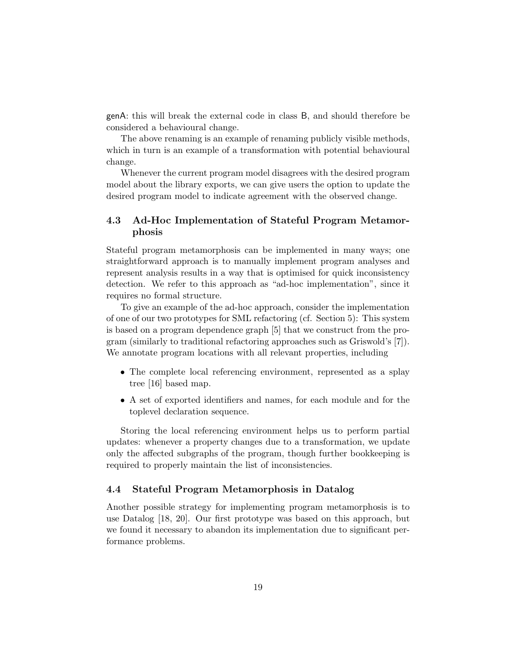genA: this will break the external code in class B, and should therefore be considered a behavioural change.

The above renaming is an example of renaming publicly visible methods, which in turn is an example of a transformation with potential behavioural change.

Whenever the current program model disagrees with the desired program model about the library exports, we can give users the option to update the desired program model to indicate agreement with the observed change.

# 4.3 Ad-Hoc Implementation of Stateful Program Metamorphosis

Stateful program metamorphosis can be implemented in many ways; one straightforward approach is to manually implement program analyses and represent analysis results in a way that is optimised for quick inconsistency detection. We refer to this approach as "ad-hoc implementation", since it requires no formal structure.

To give an example of the ad-hoc approach, consider the implementation of one of our two prototypes for SML refactoring (cf. Section 5): This system is based on a program dependence graph [5] that we construct from the program (similarly to traditional refactoring approaches such as Griswold's [7]). We annotate program locations with all relevant properties, including

- The complete local referencing environment, represented as a splay tree [16] based map.
- A set of exported identifiers and names, for each module and for the toplevel declaration sequence.

Storing the local referencing environment helps us to perform partial updates: whenever a property changes due to a transformation, we update only the affected subgraphs of the program, though further bookkeeping is required to properly maintain the list of inconsistencies.

## 4.4 Stateful Program Metamorphosis in Datalog

Another possible strategy for implementing program metamorphosis is to use Datalog [18, 20]. Our first prototype was based on this approach, but we found it necessary to abandon its implementation due to significant performance problems.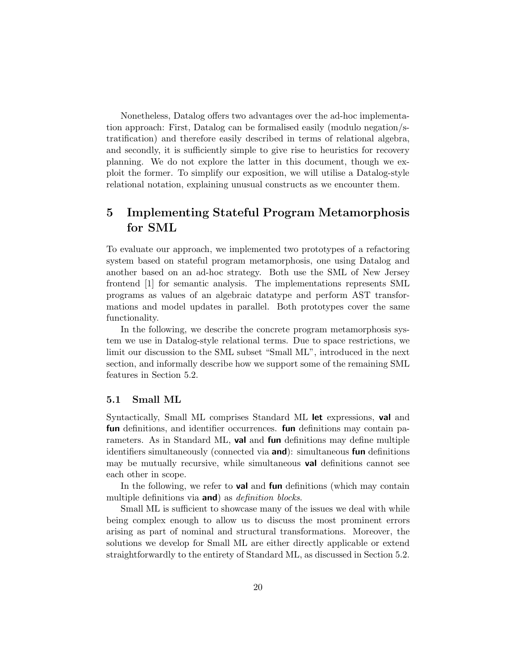Nonetheless, Datalog offers two advantages over the ad-hoc implementation approach: First, Datalog can be formalised easily (modulo negation/stratification) and therefore easily described in terms of relational algebra, and secondly, it is sufficiently simple to give rise to heuristics for recovery planning. We do not explore the latter in this document, though we exploit the former. To simplify our exposition, we will utilise a Datalog-style relational notation, explaining unusual constructs as we encounter them.

# 5 Implementing Stateful Program Metamorphosis for SML

To evaluate our approach, we implemented two prototypes of a refactoring system based on stateful program metamorphosis, one using Datalog and another based on an ad-hoc strategy. Both use the SML of New Jersey frontend [1] for semantic analysis. The implementations represents SML programs as values of an algebraic datatype and perform AST transformations and model updates in parallel. Both prototypes cover the same functionality.

In the following, we describe the concrete program metamorphosis system we use in Datalog-style relational terms. Due to space restrictions, we limit our discussion to the SML subset "Small ML", introduced in the next section, and informally describe how we support some of the remaining SML features in Section 5.2.

#### 5.1 Small ML

Syntactically, Small ML comprises Standard ML let expressions, val and fun definitions, and identifier occurrences. fun definitions may contain parameters. As in Standard ML, **val** and **fun** definitions may define multiple identifiers simultaneously (connected via and): simultaneous fun definitions may be mutually recursive, while simultaneous **val** definitions cannot see each other in scope.

In the following, we refer to **val** and **fun** definitions (which may contain multiple definitions via **and**) as *definition blocks*.

Small ML is sufficient to showcase many of the issues we deal with while being complex enough to allow us to discuss the most prominent errors arising as part of nominal and structural transformations. Moreover, the solutions we develop for Small ML are either directly applicable or extend straightforwardly to the entirety of Standard ML, as discussed in Section 5.2.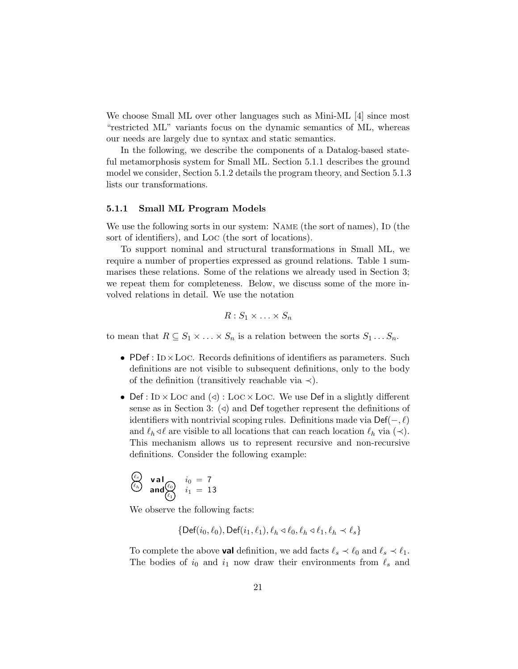We choose Small ML over other languages such as Mini-ML [4] since most "restricted ML" variants focus on the dynamic semantics of ML, whereas our needs are largely due to syntax and static semantics.

In the following, we describe the components of a Datalog-based stateful metamorphosis system for Small ML. Section 5.1.1 describes the ground model we consider, Section 5.1.2 details the program theory, and Section 5.1.3 lists our transformations.

#### 5.1.1 Small ML Program Models

We use the following sorts in our system: NAME (the sort of names), ID (the sort of identifiers), and Loc (the sort of locations).

To support nominal and structural transformations in Small ML, we require a number of properties expressed as ground relations. Table 1 summarises these relations. Some of the relations we already used in Section 3; we repeat them for completeness. Below, we discuss some of the more involved relations in detail. We use the notation

$$
R: S_1 \times \ldots \times S_n
$$

to mean that  $R \subseteq S_1 \times \ldots \times S_n$  is a relation between the sorts  $S_1 \ldots S_n$ .

- PDef :  $ID \times LOC$ . Records definitions of identifiers as parameters. Such definitions are not visible to subsequent definitions, only to the body of the definition (transitively reachable via  $\prec$ ).
- Def : In  $\times$  Loc and ( $\triangleleft$ ) : Loc  $\times$  Loc. We use Def in a slightly different sense as in Section 3:  $\langle \triangleleft \rangle$  and Def together represent the definitions of identifiers with nontrivial scoping rules. Definitions made via  $\mathsf{Def}(-, \ell)$ and  $\ell_h \triangleleft \ell$  are visible to all locations that can reach location  $\ell_h$  via  $(\prec)$ . This mechanism allows us to represent recursive and non-recursive definitions. Consider the following example:

$$
\begin{array}{ll}\n\binom{\ell_s}{\ell_h} & \text{val} \\
\text{and} \\
\binom{\ell_0}{\ell_1} & i_1 = 13\n\end{array}
$$

We observe the following facts:

$$
\{\mathsf{Def}(i_0,\ell_0),\mathsf{Def}(i_1,\ell_1),\ell_h \triangleleft \ell_0, \ell_h \triangleleft \ell_1, \ell_h \prec \ell_s\}
$$

To complete the above **val** definition, we add facts  $\ell_s \prec \ell_0$  and  $\ell_s \prec \ell_1$ . The bodies of  $i_0$  and  $i_1$  now draw their environments from  $\ell_s$  and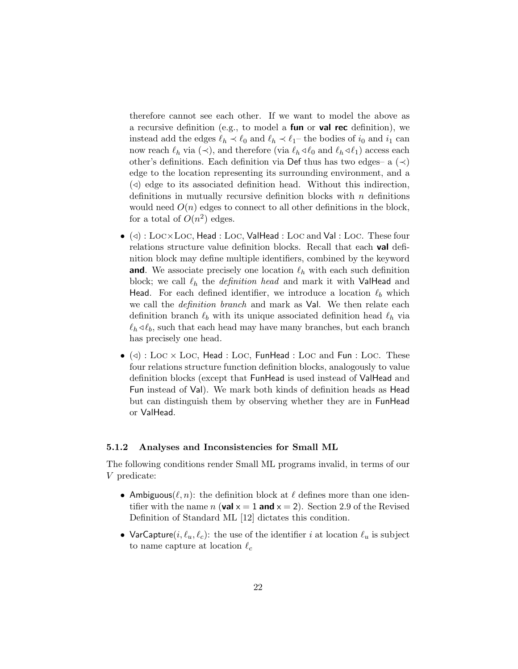therefore cannot see each other. If we want to model the above as a recursive definition (e.g., to model a **fun** or **val rec** definition), we instead add the edges  $\ell_h \prec \ell_0$  and  $\ell_h \prec \ell_1$ – the bodies of  $i_0$  and  $i_1$  can now reach  $\ell_h$  via  $(\prec)$ , and therefore (via  $\ell_h \triangleleft \ell_0$  and  $\ell_h \triangleleft \ell_1$ ) access each other's definitions. Each definition via Def thus has two edges– a  $(\prec)$ edge to the location representing its surrounding environment, and a  $\Diamond$  edge to its associated definition head. Without this indirection, definitions in mutually recursive definition blocks with  $n$  definitions would need  $O(n)$  edges to connect to all other definitions in the block, for a total of  $O(n^2)$  edges.

- $\bullet$  (<) : LOC×LOC, Head : LOC, ValHead : LOC and Val : LOC. These four relations structure value definition blocks. Recall that each **val** definition block may define multiple identifiers, combined by the keyword **and**. We associate precisely one location  $\ell_h$  with each such definition block; we call  $\ell_h$  the *definition head* and mark it with ValHead and Head. For each defined identifier, we introduce a location  $\ell_b$  which we call the *definition branch* and mark as **Val**. We then relate each definition branch  $\ell_b$  with its unique associated definition head  $\ell_h$  via  $\ell_h \triangleleft \ell_b$ , such that each head may have many branches, but each branch has precisely one head.
- $\bullet$  (⊲) : Lo $\rm c \times Loc$ , Head : Lo $\rm c$ , FunHead : Lo $\rm c$  and Fun : Lo $\rm c$ . These four relations structure function definition blocks, analogously to value definition blocks (except that FunHead is used instead of ValHead and Fun instead of Val). We mark both kinds of definition heads as Head but can distinguish them by observing whether they are in FunHead or ValHead.

#### 5.1.2 Analyses and Inconsistencies for Small ML

The following conditions render Small ML programs invalid, in terms of our V predicate:

- Ambiguous $(\ell, n)$ : the definition block at  $\ell$  defines more than one identifier with the name n (val  $x = 1$  and  $x = 2$ ). Section 2.9 of the Revised Definition of Standard ML [12] dictates this condition.
- VarCapture $(i, \ell_u, \ell_c)$ : the use of the identifier i at location  $\ell_u$  is subject to name capture at location  $\ell_c$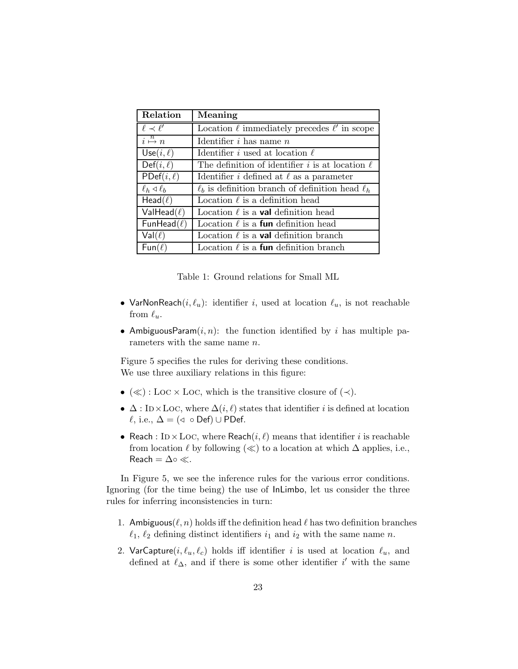| Relation                               | Meaning                                                   |  |
|----------------------------------------|-----------------------------------------------------------|--|
| $\ell \prec \ell'$                     | Location $\ell$ immediately precedes $\ell'$ in scope     |  |
| $\overline{i} \stackrel{n}{\mapsto} n$ | Identifier $i$ has name $n$                               |  |
| $Use(i, \ell)$                         | Identifier i used at location $\ell$                      |  |
| $Def(i, \ell)$                         | The definition of identifier i is at location $\ell$      |  |
| $PDef(i, \ell)$                        | Identifier i defined at $\ell$ as a parameter             |  |
| $\ell_h \triangleleft \ell_b$          | $\ell_b$ is definition branch of definition head $\ell_b$ |  |
| $Head(\ell)$                           | Location $\ell$ is a definition head                      |  |
| ValHead( $\ell$ )                      | Location $\ell$ is a <b>val</b> definition head           |  |
| FunHead( $\ell$ )                      | Location $\ell$ is a <b>fun</b> definition head           |  |
| $Val(\ell)$                            | Location $\ell$ is a <b>val</b> definition branch         |  |
| $Fun(\ell)$                            | Location $\ell$ is a <b>fun</b> definition branch         |  |

Table 1: Ground relations for Small ML

- VarNonReach $(i, \ell_u)$ : identifier i, used at location  $\ell_u$ , is not reachable from  $\ell_u$ .
- AmbiguousParam $(i, n)$ : the function identified by i has multiple parameters with the same name *n*.

Figure 5 specifies the rules for deriving these conditions. We use three auxiliary relations in this figure:

- $(\ll)$ : Loc × Loc, which is the transitive closure of  $(\prec)$ .
- $\Delta$ : ID×LOC, where  $\Delta(i, \ell)$  states that identifier i is defined at location  $\ell$ , i.e.,  $\Delta = (\triangleleft \circ \text{Def}) \cup \text{PDef}.$
- Reach :  $ID \times LOC$ , where Reach $(i, \ell)$  means that identifier i is reachable from location  $\ell$  by following  $(\ll)$  to a location at which  $\Delta$  applies, i.e., Reach =  $\Delta \circ \ll$ .

In Figure 5, we see the inference rules for the various error conditions. Ignoring (for the time being) the use of InLimbo, let us consider the three rules for inferring inconsistencies in turn:

- 1. Ambiguous( $\ell, n$ ) holds iff the definition head  $\ell$  has two definition branches  $\ell_1$ ,  $\ell_2$  defining distinct identifiers  $i_1$  and  $i_2$  with the same name n.
- 2. VarCapture( $i, \ell_u, \ell_c$ ) holds iff identifier i is used at location  $\ell_u$ , and defined at  $\ell_{\Delta}$ , and if there is some other identifier i' with the same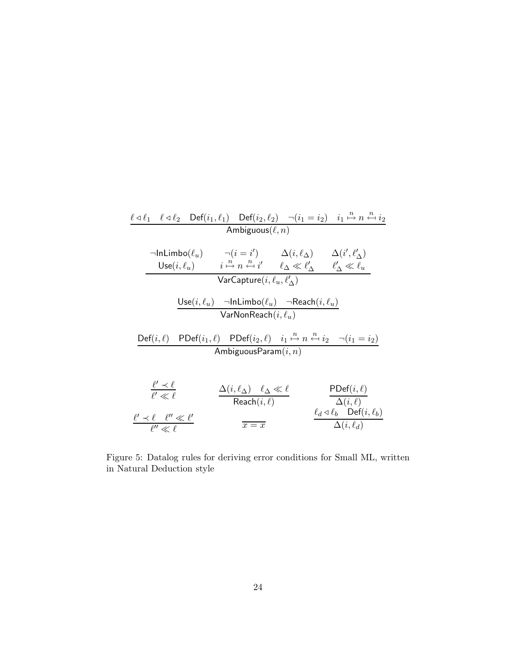| $\ell \triangleleft \ell_1$                | $\ell \triangleleft \ell_2$                                                           | $\text{Def}(i_1, \ell_1)$                      | $\text{Def}(i_2, \ell_2)$                                      | $\neg(i_1 = i_2)$ | $i_1 \stackrel{n}{\mapsto} n \stackrel{n}{\longleftarrow} i_2$ |
|--------------------------------------------|---------------------------------------------------------------------------------------|------------------------------------------------|----------------------------------------------------------------|-------------------|----------------------------------------------------------------|
| Annlipuous( $\ell_n$ )                     | $\neg(i = i')$                                                                        | $\Delta(i, \ell_{\Delta})$                     | $\Delta(i', \ell'_{\Delta})$                                   |                   |                                                                |
| Use( $i, \ell_u$ )                         | $i \stackrel{n}{\mapsto} n \stackrel{n}{\longleftarrow} i'$                           | $\ell_{\Delta} \ll \ell'_{\Delta}$             | $\ell'_{\Delta} \ll \ell_u$                                    |                   |                                                                |
| VarCapture( $i, \ell_u, \ell'_{\Delta}$ )  | VarCapture( $i, \ell_u, \ell'_{\Delta}$ )                                             |                                                |                                                                |                   |                                                                |
| $\frac{\text{Use}(i, \ell_u)$              | $\neg \text{InLimbo}(\ell_u)$                                                         | $\neg \text{Reach}(i, \ell_u)$                 |                                                                |                   |                                                                |
| $\frac{\text{Def}(i, \ell)$                | PDF( $i_1, \ell$ )                                                                    | PDF( $i_2, \ell$ )                             | $i_1 \stackrel{n}{\mapsto} n \stackrel{n}{\longleftarrow} i_2$ | $\neg(i_1 = i_2)$ |                                                                |
| AmbiguousParam( $i, n$ )                   |                                                                                       |                                                |                                                                |                   |                                                                |
| $\frac{\ell' \prec \ell}{\ell' \ll \ell}$  | $\frac{\Delta(i, \ell_{\Delta}) \quad \ell_{\Delta} \ll \ell}{\text{Reach}(i, \ell)}$ | $\frac{\text{PDef}(i, \ell)}{\Delta(i, \ell)}$ |                                                                |                   |                                                                |
| $\frac{\ell' \prec \ell}{\ell'' \ll \ell}$ | $\frac{\Delta(i, \ell_{\Delta}) \quad \ell_{\Delta} \ll \ell}{\overline{x = x}}$      |                                                |                                                                |                   |                                                                |

Figure 5: Datalog rules for deriving error conditions for Small ML, written in Natural Deduction style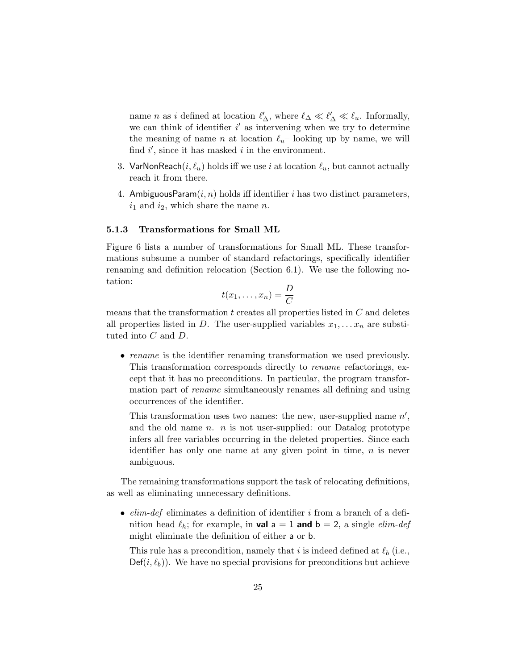name *n* as *i* defined at location  $\ell'_{\Delta}$ , where  $\ell_{\Delta} \ll \ell'_{\Delta} \ll \ell_u$ . Informally, we can think of identifier  $i'$  as intervening when we try to determine the meaning of name n at location  $\ell_u$ – looking up by name, we will find  $i'$ , since it has masked  $i$  in the environment.

- 3. VarNonReach $(i, \ell_u)$  holds iff we use i at location  $\ell_u$ , but cannot actually reach it from there.
- 4. AmbiguousParam $(i, n)$  holds iff identifier i has two distinct parameters,  $i_1$  and  $i_2$ , which share the name n.

#### 5.1.3 Transformations for Small ML

Figure 6 lists a number of transformations for Small ML. These transformations subsume a number of standard refactorings, specifically identifier renaming and definition relocation (Section 6.1). We use the following notation:

$$
t(x_1,\ldots,x_n)=\frac{D}{C}
$$

means that the transformation  $t$  creates all properties listed in  $C$  and deletes all properties listed in D. The user-supplied variables  $x_1, \ldots x_n$  are substituted into C and D.

• rename is the identifier renaming transformation we used previously. This transformation corresponds directly to rename refactorings, except that it has no preconditions. In particular, the program transformation part of *rename* simultaneously renames all defining and using occurrences of the identifier.

This transformation uses two names: the new, user-supplied name  $n'$ , and the old name  $n.$  n is not user-supplied: our Datalog prototype infers all free variables occurring in the deleted properties. Since each identifier has only one name at any given point in time,  $n$  is never ambiguous.

The remaining transformations support the task of relocating definitions, as well as eliminating unnecessary definitions.

•  $elim-def$  eliminates a definition of identifier i from a branch of a definition head  $\ell_h$ ; for example, in **val**  $a = 1$  and  $b = 2$ , a single *elim-def* might eliminate the definition of either a or b.

This rule has a precondition, namely that i is indeed defined at  $\ell_b$  (i.e.,  $\mathsf{Def}(i, \ell_b)$ . We have no special provisions for preconditions but achieve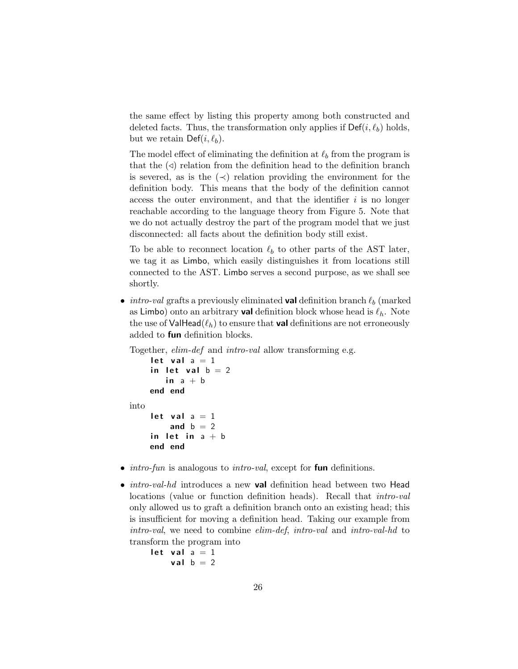the same effect by listing this property among both constructed and deleted facts. Thus, the transformation only applies if  $\mathsf{Def}(i, \ell_b)$  holds, but we retain  $\mathsf{Def}(i, \ell_b)$ .

The model effect of eliminating the definition at  $\ell_b$  from the program is that the  $\langle \triangleleft \rangle$  relation from the definition head to the definition branch is severed, as is the  $\left(\prec\right)$  relation providing the environment for the definition body. This means that the body of the definition cannot access the outer environment, and that the identifier  $i$  is no longer reachable according to the language theory from Figure 5. Note that we do not actually destroy the part of the program model that we just disconnected: all facts about the definition body still exist.

To be able to reconnect location  $\ell_b$  to other parts of the AST later, we tag it as Limbo, which easily distinguishes it from locations still connected to the AST. Limbo serves a second purpose, as we shall see shortly.

• *intro-val* grafts a previously eliminated **val** definition branch  $\ell_b$  (marked as Limbo) onto an arbitrary **val** definition block whose head is  $\ell_h$ . Note the use of ValHead( $\ell_h$ ) to ensure that val definitions are not erroneously added to fun definition blocks.

Together, *elim-def* and *intro-val* allow transforming e.g.

```
let val a = 1in let val b = 2in a + bend end
into
    let val a = 1and b = 2in let in a + bend end
```
- $\bullet$  *intro-fun* is analogous to *intro-val*, except for **fun** definitions.
- *intro-val-hd* introduces a new **val** definition head between two Head locations (value or function definition heads). Recall that intro-val only allowed us to graft a definition branch onto an existing head; this is insufficient for moving a definition head. Taking our example from intro-val, we need to combine elim-def, intro-val and intro-val-hd to transform the program into

```
let val a = 1val b = 2
```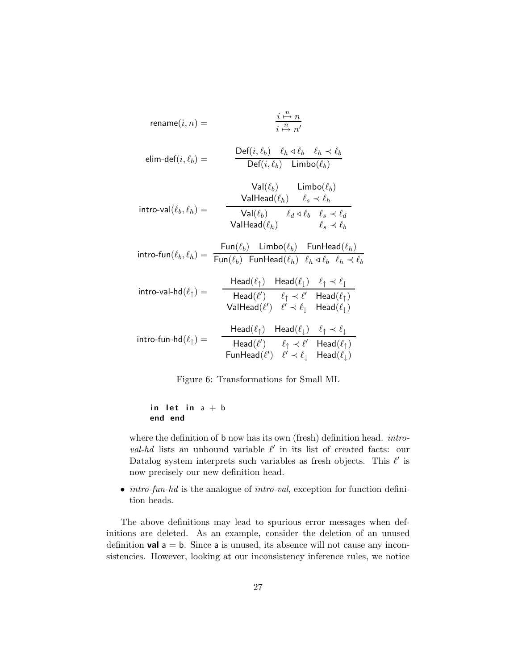$$
\text{rename}(i, n) = \frac{\frac{i}{n} \cdot \frac{n}{n} n}{\frac{n}{n} \cdot n'}
$$
\n
$$
\text{elim-def}(i, \ell_b) = \frac{\text{Def}(i, \ell_b) \quad \ell_h \triangleleft \ell_b \quad \ell_h \triangleleft \ell_b}{\text{Def}(i, \ell_b) \quad \text{Limbo}(\ell_b)}{\text{ValHead}(\ell_h) \quad \ell_s \triangleleft \ell_h}
$$
\n
$$
\text{intro-val}(\ell_b, \ell_h) = \frac{\text{ValHead}(\ell_h) \quad \ell_s \triangleleft \ell_h}{\text{ValHead}(\ell_h) \quad \ell_d \triangleleft \ell_b \quad \ell_s \triangleleft \ell_d}{\ell_s \triangleleft \ell_b}
$$
\n
$$
\text{intro-fun}(\ell_b, \ell_h) = \frac{\text{Fun}(\ell_b) \quad \text{Limbo}(\ell_b) \quad \text{FunHead}(\ell_h)}{\text{FunHead}(\ell_h) \quad \ell_h \triangleleft \ell_b \quad \ell_h \triangleleft \ell_b}
$$
\n
$$
\text{intro-val-hd}(\ell_{\uparrow}) = \frac{\text{Head}(\ell_{\uparrow}) \quad \text{Head}(\ell_{\downarrow}) \quad \ell_{\uparrow} \triangleleft \ell_{\downarrow}}{\text{Head}(\ell') \quad \ell_{\uparrow} \triangleleft \ell_{\downarrow} \quad \text{Head}(\ell_{\uparrow})}
$$
\n
$$
\text{intro-fun-hd}(\ell_{\uparrow}) = \frac{\text{Head}(\ell_{\uparrow}) \quad \text{Head}(\ell_{\downarrow}) \quad \ell_{\uparrow} \triangleleft \ell_{\downarrow}}{\text{Head}(\ell_{\uparrow}) \quad \ell_{\uparrow} \triangleleft \ell_{\downarrow} \quad \text{Head}(\ell_{\uparrow})}
$$
\n
$$
\text{FunHead}(\ell') \quad \ell_{\uparrow} \triangleleft \ell_{\downarrow} \quad \text{Head}(\ell_{\uparrow})
$$
\n
$$
\text{FunHead}(\ell') \quad \ell_{\uparrow} \triangleleft \ell_{\downarrow} \quad \text{Head}(\ell_{\uparrow})
$$

Figure 6: Transformations for Small ML

$$
\begin{array}{ll}\n\text{in let in } a + b \\
\text{end end}\n\end{array}
$$

where the definition of **b** now has its own (fresh) definition head. *intro*val-hd lists an unbound variable  $\ell'$  in its list of created facts: our Datalog system interprets such variables as fresh objects. This  $\ell'$  is now precisely our new definition head.

• *intro-fun-hd* is the analogue of *intro-val*, exception for function definition heads.

The above definitions may lead to spurious error messages when definitions are deleted. As an example, consider the deletion of an unused definition **val**  $a = b$ . Since a is unused, its absence will not cause any inconsistencies. However, looking at our inconsistency inference rules, we notice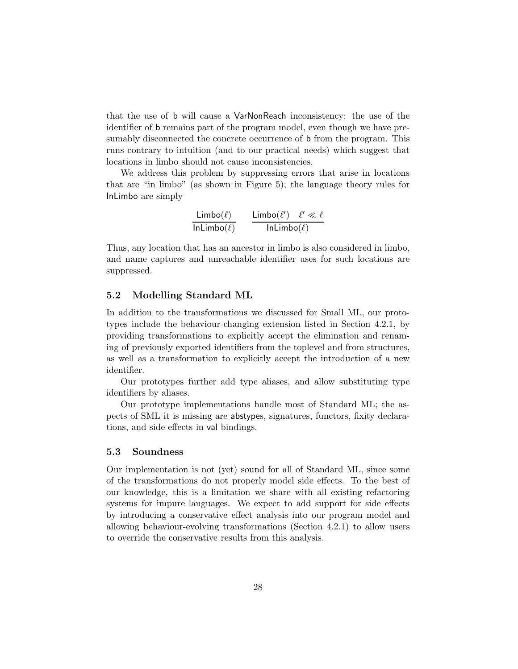that the use of b will cause a VarNonReach inconsistency: the use of the identifier of b remains part of the program model, even though we have presumably disconnected the concrete occurrence of **b** from the program. This runs contrary to intuition (and to our practical needs) which suggest that locations in limbo should not cause inconsistencies.

We address this problem by suppressing errors that arise in locations that are "in limbo" (as shown in Figure 5); the language theory rules for InLimbo are simply

$$
\frac{\mathsf{Limbo}(\ell)}{\mathsf{InLimbo}(\ell)} \qquad \frac{\mathsf{Limbo}(\ell') \quad \ell' \ll \ell}{\mathsf{InLimbo}(\ell)}
$$

Thus, any location that has an ancestor in limbo is also considered in limbo, and name captures and unreachable identifier uses for such locations are suppressed.

## 5.2 Modelling Standard ML

In addition to the transformations we discussed for Small ML, our prototypes include the behaviour-changing extension listed in Section 4.2.1, by providing transformations to explicitly accept the elimination and renaming of previously exported identifiers from the toplevel and from structures, as well as a transformation to explicitly accept the introduction of a new identifier.

Our prototypes further add type aliases, and allow substituting type identifiers by aliases.

Our prototype implementations handle most of Standard ML; the aspects of SML it is missing are abstypes, signatures, functors, fixity declarations, and side effects in val bindings.

## 5.3 Soundness

Our implementation is not (yet) sound for all of Standard ML, since some of the transformations do not properly model side effects. To the best of our knowledge, this is a limitation we share with all existing refactoring systems for impure languages. We expect to add support for side effects by introducing a conservative effect analysis into our program model and allowing behaviour-evolving transformations (Section 4.2.1) to allow users to override the conservative results from this analysis.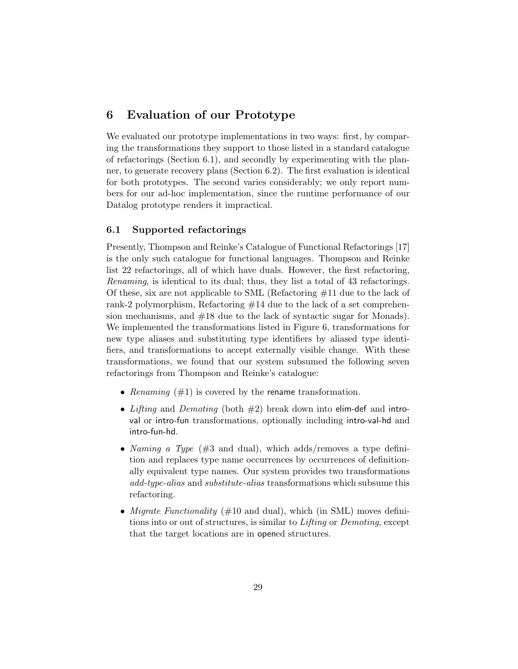# 6 Evaluation of our Prototype

We evaluated our prototype implementations in two ways: first, by comparing the transformations they support to those listed in a standard catalogue of refactorings (Section 6.1), and secondly by experimenting with the planner, to generate recovery plans (Section 6.2). The first evaluation is identical for both prototypes. The second varies considerably; we only report numbers for our ad-hoc implementation, since the runtime performance of our Datalog prototype renders it impractical.

## 6.1 Supported refactorings

Presently, Thompson and Reinke's Catalogue of Functional Refactorings [17] is the only such catalogue for functional languages. Thompson and Reinke list 22 refactorings, all of which have duals. However, the first refactoring, Renaming, is identical to its dual; thus, they list a total of 43 refactorings. Of these, six are not applicable to SML (Refactoring #11 due to the lack of rank-2 polymorphism, Refactoring #14 due to the lack of a set comprehension mechanisms, and #18 due to the lack of syntactic sugar for Monads). We implemented the transformations listed in Figure 6, transformations for new type aliases and substituting type identifiers by aliased type identifiers, and transformations to accept externally visible change. With these transformations, we found that our system subsumed the following seven refactorings from Thompson and Reinke's catalogue:

- Renaming  $(\#1)$  is covered by the rename transformation.
- Lifting and Demoting (both  $#2$ ) break down into elim-def and introval or intro-fun transformations, optionally including intro-val-hd and intro-fun-hd.
- Naming a Type  $(\#3 \text{ and dual})$ , which adds/removes a type definition and replaces type name occurrences by occurrences of definitionally equivalent type names. Our system provides two transformations add-type-alias and substitute-alias transformations which subsume this refactoring.
- Migrate Functionality (#10 and dual), which (in SML) moves definitions into or out of structures, is similar to Lifting or Demoting, except that the target locations are in opened structures.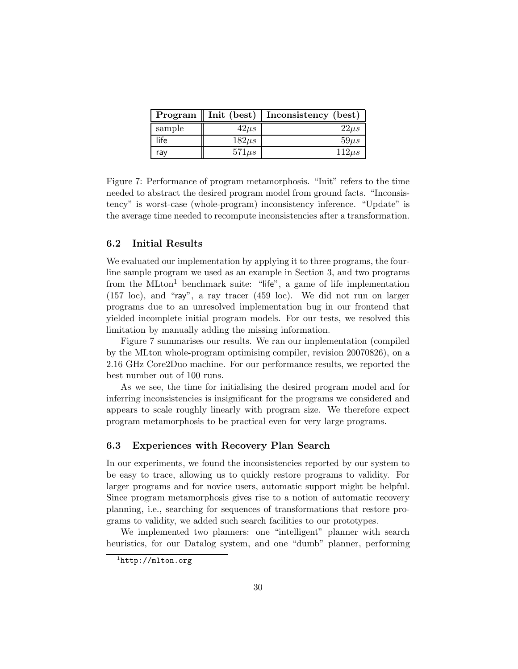| Program | Init (best) | Inconsistency (best) |
|---------|-------------|----------------------|
| sample  | $42\mu s$   | $22\mu s$            |
| life    | $182\mu s$  | $59\mu s$            |
| rav     | $571\mu s$  | $112\mu s$           |

Figure 7: Performance of program metamorphosis. "Init" refers to the time needed to abstract the desired program model from ground facts. "Inconsistency" is worst-case (whole-program) inconsistency inference. "Update" is the average time needed to recompute inconsistencies after a transformation.

## 6.2 Initial Results

We evaluated our implementation by applying it to three programs, the fourline sample program we used as an example in Section 3, and two programs from the  $MLton<sup>1</sup>$  benchmark suite: "life", a game of life implementation (157 loc), and "ray", a ray tracer (459 loc). We did not run on larger programs due to an unresolved implementation bug in our frontend that yielded incomplete initial program models. For our tests, we resolved this limitation by manually adding the missing information.

Figure 7 summarises our results. We ran our implementation (compiled by the MLton whole-program optimising compiler, revision 20070826), on a 2.16 GHz Core2Duo machine. For our performance results, we reported the best number out of 100 runs.

As we see, the time for initialising the desired program model and for inferring inconsistencies is insignificant for the programs we considered and appears to scale roughly linearly with program size. We therefore expect program metamorphosis to be practical even for very large programs.

#### 6.3 Experiences with Recovery Plan Search

In our experiments, we found the inconsistencies reported by our system to be easy to trace, allowing us to quickly restore programs to validity. For larger programs and for novice users, automatic support might be helpful. Since program metamorphosis gives rise to a notion of automatic recovery planning, i.e., searching for sequences of transformations that restore programs to validity, we added such search facilities to our prototypes.

We implemented two planners: one "intelligent" planner with search heuristics, for our Datalog system, and one "dumb" planner, performing

 $<sup>1</sup>$ http://mlton.org</sup>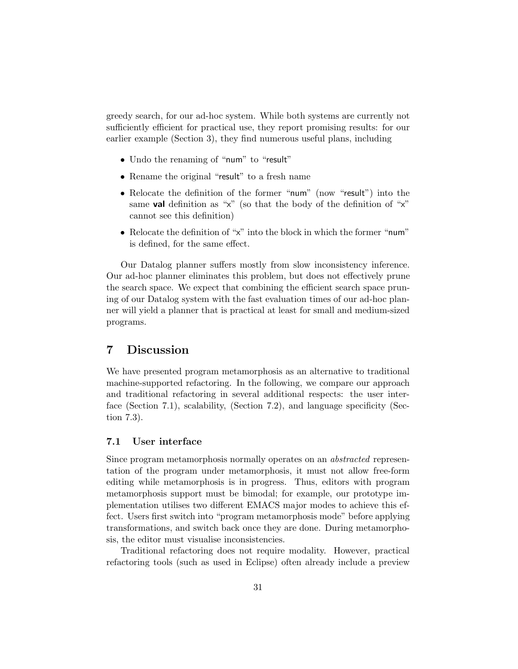greedy search, for our ad-hoc system. While both systems are currently not sufficiently efficient for practical use, they report promising results: for our earlier example (Section 3), they find numerous useful plans, including

- Undo the renaming of "num" to "result"
- Rename the original "result" to a fresh name
- Relocate the definition of the former "num" (now "result") into the same **val** definition as " $x$ " (so that the body of the definition of " $x$ " cannot see this definition)
- Relocate the definition of "x" into the block in which the former "num" is defined, for the same effect.

Our Datalog planner suffers mostly from slow inconsistency inference. Our ad-hoc planner eliminates this problem, but does not effectively prune the search space. We expect that combining the efficient search space pruning of our Datalog system with the fast evaluation times of our ad-hoc planner will yield a planner that is practical at least for small and medium-sized programs.

# 7 Discussion

We have presented program metamorphosis as an alternative to traditional machine-supported refactoring. In the following, we compare our approach and traditional refactoring in several additional respects: the user interface (Section 7.1), scalability, (Section 7.2), and language specificity (Section 7.3).

## 7.1 User interface

Since program metamorphosis normally operates on an abstracted representation of the program under metamorphosis, it must not allow free-form editing while metamorphosis is in progress. Thus, editors with program metamorphosis support must be bimodal; for example, our prototype implementation utilises two different EMACS major modes to achieve this effect. Users first switch into "program metamorphosis mode" before applying transformations, and switch back once they are done. During metamorphosis, the editor must visualise inconsistencies.

Traditional refactoring does not require modality. However, practical refactoring tools (such as used in Eclipse) often already include a preview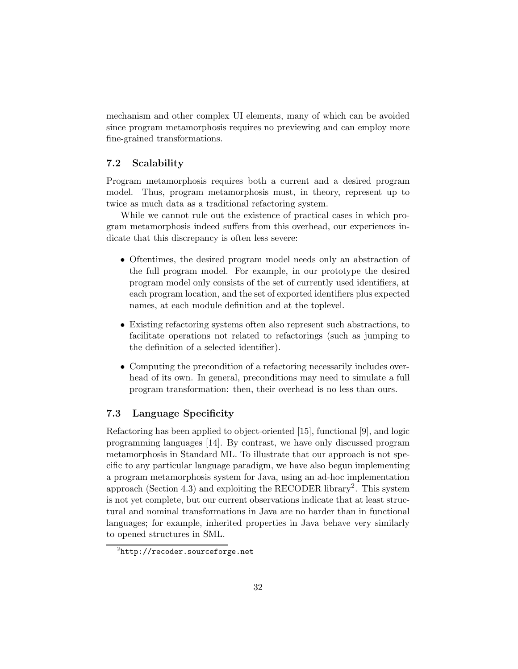mechanism and other complex UI elements, many of which can be avoided since program metamorphosis requires no previewing and can employ more fine-grained transformations.

## 7.2 Scalability

Program metamorphosis requires both a current and a desired program model. Thus, program metamorphosis must, in theory, represent up to twice as much data as a traditional refactoring system.

While we cannot rule out the existence of practical cases in which program metamorphosis indeed suffers from this overhead, our experiences indicate that this discrepancy is often less severe:

- Oftentimes, the desired program model needs only an abstraction of the full program model. For example, in our prototype the desired program model only consists of the set of currently used identifiers, at each program location, and the set of exported identifiers plus expected names, at each module definition and at the toplevel.
- Existing refactoring systems often also represent such abstractions, to facilitate operations not related to refactorings (such as jumping to the definition of a selected identifier).
- Computing the precondition of a refactoring necessarily includes overhead of its own. In general, preconditions may need to simulate a full program transformation: then, their overhead is no less than ours.

## 7.3 Language Specificity

Refactoring has been applied to object-oriented [15], functional [9], and logic programming languages [14]. By contrast, we have only discussed program metamorphosis in Standard ML. To illustrate that our approach is not specific to any particular language paradigm, we have also begun implementing a program metamorphosis system for Java, using an ad-hoc implementation approach (Section 4.3) and exploiting the RECODER library<sup>2</sup>. This system is not yet complete, but our current observations indicate that at least structural and nominal transformations in Java are no harder than in functional languages; for example, inherited properties in Java behave very similarly to opened structures in SML.

<sup>2</sup>http://recoder.sourceforge.net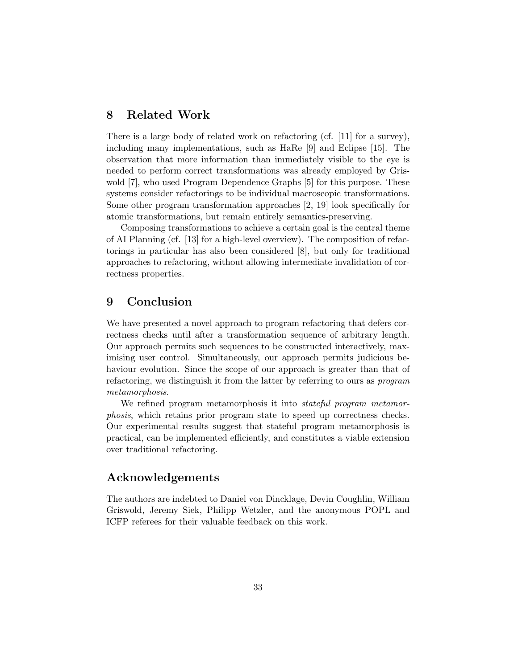# 8 Related Work

There is a large body of related work on refactoring (cf. [11] for a survey), including many implementations, such as HaRe [9] and Eclipse [15]. The observation that more information than immediately visible to the eye is needed to perform correct transformations was already employed by Griswold [7], who used Program Dependence Graphs [5] for this purpose. These systems consider refactorings to be individual macroscopic transformations. Some other program transformation approaches [2, 19] look specifically for atomic transformations, but remain entirely semantics-preserving.

Composing transformations to achieve a certain goal is the central theme of AI Planning (cf. [13] for a high-level overview). The composition of refactorings in particular has also been considered [8], but only for traditional approaches to refactoring, without allowing intermediate invalidation of correctness properties.

# 9 Conclusion

We have presented a novel approach to program refactoring that defers correctness checks until after a transformation sequence of arbitrary length. Our approach permits such sequences to be constructed interactively, maximising user control. Simultaneously, our approach permits judicious behaviour evolution. Since the scope of our approach is greater than that of refactoring, we distinguish it from the latter by referring to ours as program metamorphosis.

We refined program metamorphosis it into *stateful program metamor*phosis, which retains prior program state to speed up correctness checks. Our experimental results suggest that stateful program metamorphosis is practical, can be implemented efficiently, and constitutes a viable extension over traditional refactoring.

# Acknowledgements

The authors are indebted to Daniel von Dincklage, Devin Coughlin, William Griswold, Jeremy Siek, Philipp Wetzler, and the anonymous POPL and ICFP referees for their valuable feedback on this work.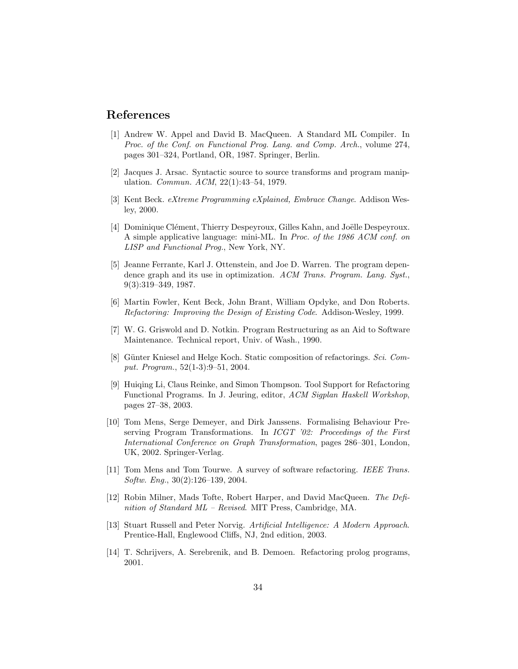# References

- [1] Andrew W. Appel and David B. MacQueen. A Standard ML Compiler. In Proc. of the Conf. on Functional Prog. Lang. and Comp. Arch., volume 274, pages 301–324, Portland, OR, 1987. Springer, Berlin.
- [2] Jacques J. Arsac. Syntactic source to source transforms and program manipulation. Commun. ACM, 22(1):43–54, 1979.
- [3] Kent Beck. eXtreme Programming eXplained, Embrace Change. Addison Wesley, 2000.
- [4] Dominique Clément, Thierry Despeyroux, Gilles Kahn, and Joëlle Despeyroux. A simple applicative language: mini-ML. In Proc. of the 1986 ACM conf. on LISP and Functional Prog., New York, NY.
- [5] Jeanne Ferrante, Karl J. Ottenstein, and Joe D. Warren. The program dependence graph and its use in optimization. ACM Trans. Program. Lang. Syst., 9(3):319–349, 1987.
- [6] Martin Fowler, Kent Beck, John Brant, William Opdyke, and Don Roberts. Refactoring: Improving the Design of Existing Code. Addison-Wesley, 1999.
- [7] W. G. Griswold and D. Notkin. Program Restructuring as an Aid to Software Maintenance. Technical report, Univ. of Wash., 1990.
- [8] Günter Kniesel and Helge Koch. Static composition of refactorings. Sci. Comput. Program., 52(1-3):9–51, 2004.
- [9] Huiqing Li, Claus Reinke, and Simon Thompson. Tool Support for Refactoring Functional Programs. In J. Jeuring, editor, ACM Sigplan Haskell Workshop, pages 27–38, 2003.
- [10] Tom Mens, Serge Demeyer, and Dirk Janssens. Formalising Behaviour Preserving Program Transformations. In  $ICGT$  '02: Proceedings of the First International Conference on Graph Transformation, pages 286–301, London, UK, 2002. Springer-Verlag.
- [11] Tom Mens and Tom Tourwe. A survey of software refactoring. IEEE Trans. Softw. Eng., 30(2):126–139, 2004.
- [12] Robin Milner, Mads Tofte, Robert Harper, and David MacQueen. The Definition of Standard ML – Revised. MIT Press, Cambridge, MA.
- [13] Stuart Russell and Peter Norvig. Artificial Intelligence: A Modern Approach. Prentice-Hall, Englewood Cliffs, NJ, 2nd edition, 2003.
- [14] T. Schrijvers, A. Serebrenik, and B. Demoen. Refactoring prolog programs, 2001.